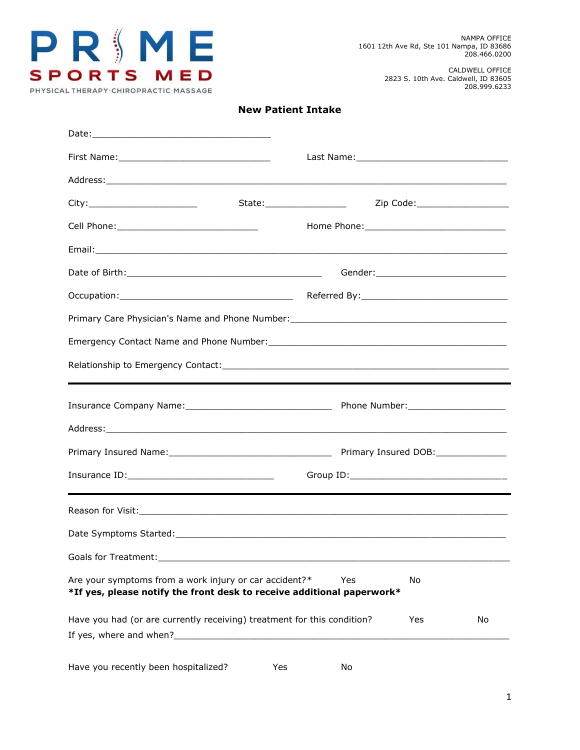

CALDWELL OFFICE 2823 S. 10th Ave. Caldwell, ID 83605 208.999.6233

### **New Patient Intake**

|                                                                                                                                  | Address: Andreas Address: Address: Address: Address: Address: Address: Address: Address: Address: Address: Address: Address: Address: Address: Address: Address: Address: Address: Address: Address: Address: Address: Address |
|----------------------------------------------------------------------------------------------------------------------------------|--------------------------------------------------------------------------------------------------------------------------------------------------------------------------------------------------------------------------------|
|                                                                                                                                  | Zip Code:______________________<br>State:___________________                                                                                                                                                                   |
|                                                                                                                                  |                                                                                                                                                                                                                                |
|                                                                                                                                  |                                                                                                                                                                                                                                |
|                                                                                                                                  | Gender:_____________________________                                                                                                                                                                                           |
|                                                                                                                                  |                                                                                                                                                                                                                                |
|                                                                                                                                  | Primary Care Physician's Name and Phone Number: _________________________________                                                                                                                                              |
|                                                                                                                                  |                                                                                                                                                                                                                                |
|                                                                                                                                  |                                                                                                                                                                                                                                |
|                                                                                                                                  |                                                                                                                                                                                                                                |
|                                                                                                                                  |                                                                                                                                                                                                                                |
|                                                                                                                                  | Address: Address: Address: Address: Address: Address: Address: Address: Address: Address: Address: Address: Address: Address: Address: Address: Address: Address: Address: Address: Address: Address: Address: Address: Addres |
|                                                                                                                                  |                                                                                                                                                                                                                                |
|                                                                                                                                  |                                                                                                                                                                                                                                |
|                                                                                                                                  |                                                                                                                                                                                                                                |
|                                                                                                                                  |                                                                                                                                                                                                                                |
| Goals for Treatment:                                                                                                             | <u> 1980 - John Stein, Amerikaansk politiker (</u> † 1920)                                                                                                                                                                     |
| Are your symptoms from a work injury or car accident?*<br>*If yes, please notify the front desk to receive additional paperwork* | Yes<br>No                                                                                                                                                                                                                      |
| Have you had (or are currently receiving) treatment for this condition?                                                          | Yes<br>No                                                                                                                                                                                                                      |
| Have you recently been hospitalized?                                                                                             | Yes<br>No                                                                                                                                                                                                                      |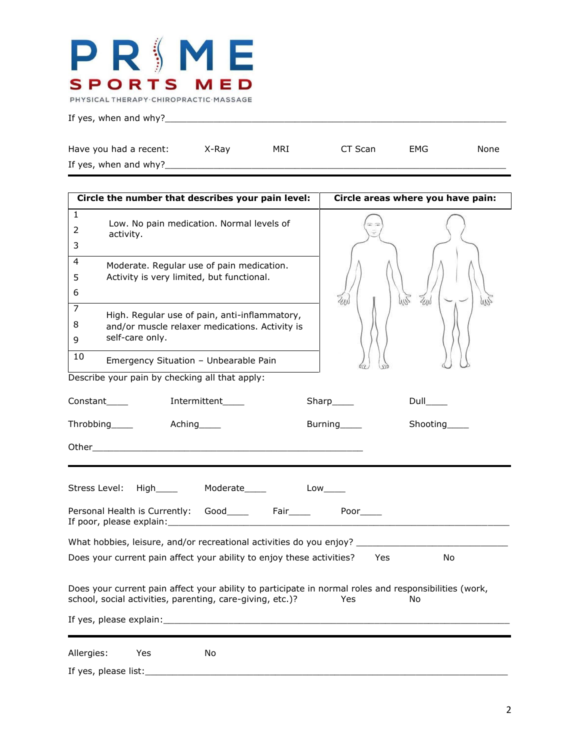### PRSME **SPORTS MED** PHYSICAL THERAPY CHIROPRACTIC MASSAGE

If yes, when and why?\_\_\_\_\_\_\_\_\_\_\_\_\_\_\_\_\_\_\_\_\_\_\_\_\_\_\_\_\_\_\_\_\_\_\_\_\_\_\_\_\_\_\_\_\_\_\_\_\_\_\_\_\_\_\_\_\_\_\_\_\_\_\_

| Have you had a recent: | X-Ray | MRI | CT Scan | EMG | None |
|------------------------|-------|-----|---------|-----|------|
| If yes, when and why?_ |       |     |         |     |      |

| Circle the number that describes your pain level:                                                                                                                  | Circle areas where you have pain: |  |  |  |
|--------------------------------------------------------------------------------------------------------------------------------------------------------------------|-----------------------------------|--|--|--|
| $\mathbf{1}$<br>Low. No pain medication. Normal levels of<br>2<br>activity.<br>3                                                                                   |                                   |  |  |  |
| 4<br>Moderate. Regular use of pain medication.<br>Activity is very limited, but functional.<br>5<br>6                                                              | WR<br>ZUN<br>ZAN                  |  |  |  |
| 7<br>High. Regular use of pain, anti-inflammatory,<br>8<br>and/or muscle relaxer medications. Activity is<br>self-care only.<br>9                                  |                                   |  |  |  |
| 10<br>Emergency Situation - Unbearable Pain                                                                                                                        |                                   |  |  |  |
| Describe your pain by checking all that apply:                                                                                                                     |                                   |  |  |  |
| Intermittent____<br>Constant                                                                                                                                       | $Sharp$ <sub>_____</sub><br>Dull  |  |  |  |
| Throbbing____<br>Aching Theory                                                                                                                                     | Shooting_____<br>Burning          |  |  |  |
|                                                                                                                                                                    |                                   |  |  |  |
| Stress Level: High ____ Moderate ____ Low ____                                                                                                                     |                                   |  |  |  |
|                                                                                                                                                                    |                                   |  |  |  |
| What hobbies, leisure, and/or recreational activities do you enjoy? ________________________________                                                               |                                   |  |  |  |
| Does your current pain affect your ability to enjoy these activities? Yes                                                                                          | No                                |  |  |  |
| Does your current pain affect your ability to participate in normal roles and responsibilities (work,<br>school, social activities, parenting, care-giving, etc.)? | Yes<br>No.                        |  |  |  |
| Allergies: Yes<br>No                                                                                                                                               |                                   |  |  |  |
| If yes, please list:                                                                                                                                               |                                   |  |  |  |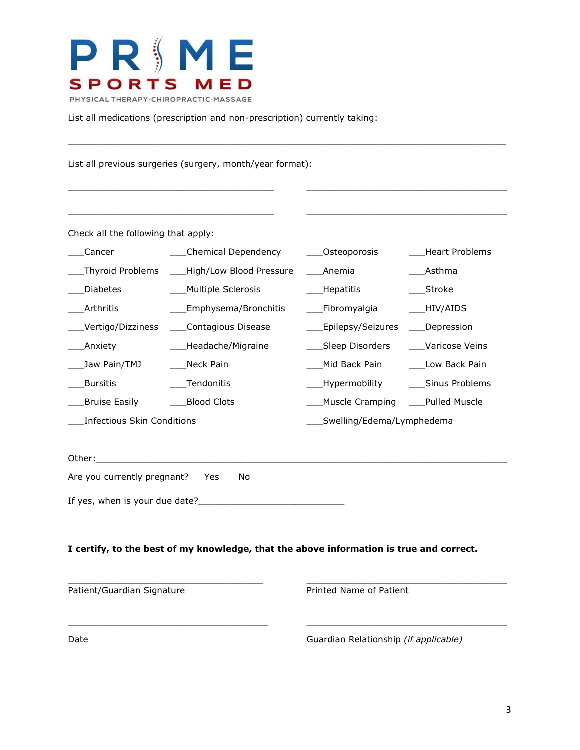

List all medications (prescription and non-prescription) currently taking:

List all previous surgeries (surgery, month/year format):

Check all the following that apply:

| Cancer                     | Chemical Dependency                          | ____Osteoporosis          | Heart Problems                      |
|----------------------------|----------------------------------------------|---------------------------|-------------------------------------|
|                            | Thyroid Problems ____High/Low Blood Pressure | Anemia                    | Asthma                              |
| <b>Diabetes</b>            | Multiple Sclerosis                           | Hepatitis                 | Stroke                              |
| Arthritis                  | Emphysema/Bronchitis                         | ___Fibromyalgia           | $\underline{\hspace{1cm}}$ HIV/AIDS |
| Vertigo/Dizziness_         | Contagious Disease                           | _Epilepsy/Seizures        | Depression                          |
| _Anxiety                   | _Headache/Migraine                           | ____Sleep Disorders       | Varicose Veins                      |
| Jaw Pain/TMJ               | Neck Pain                                    | Mid Back Pain             | Low Back Pain                       |
| <b>Bursitis</b>            | Tendonitis                                   | ___Hypermobility          | Sinus Problems                      |
| Bruise Easily              | <b>Blood Clots</b>                           | Muscle Cramping           | Pulled Muscle                       |
| Infectious Skin Conditions |                                              | Swelling/Edema/Lymphedema |                                     |

 $\Box$ 

\_\_\_\_\_\_\_\_\_\_\_\_\_\_\_\_\_\_\_\_\_\_\_\_\_\_\_\_\_\_\_\_\_\_\_\_\_\_ \_\_\_\_\_\_\_\_\_\_\_\_\_\_\_\_\_\_\_\_\_\_\_\_\_\_\_\_\_\_\_\_\_\_\_\_\_

\_\_\_\_\_\_\_\_\_\_\_\_\_\_\_\_\_\_\_\_\_\_\_\_\_\_\_\_\_\_\_\_\_\_\_\_\_\_ \_\_\_\_\_\_\_\_\_\_\_\_\_\_\_\_\_\_\_\_\_\_\_\_\_\_\_\_\_\_\_\_\_\_\_\_\_

Other:\_\_\_\_\_\_\_\_\_\_\_\_\_\_\_\_\_\_\_\_\_\_\_\_\_\_\_\_\_\_\_\_\_\_\_\_\_\_\_\_\_\_\_\_\_\_\_\_\_\_\_\_\_\_\_\_\_\_\_\_\_\_\_\_\_\_\_\_\_\_\_\_\_\_\_\_

Are you currently pregnant? Yes No

If yes, when is your due date?\_\_\_\_\_\_\_\_\_\_\_\_\_\_\_\_\_\_\_\_\_\_\_\_\_\_\_

### **I certify, to the best of my knowledge, that the above information is true and correct.**

\_\_\_\_\_\_\_\_\_\_\_\_\_\_\_\_\_\_\_\_\_\_\_\_\_\_\_\_\_\_\_\_\_\_\_\_ \_\_\_\_\_\_\_\_\_\_\_\_\_\_\_\_\_\_\_\_\_\_\_\_\_\_\_\_\_\_\_\_\_\_\_\_\_

 $\Box$ 

Patient/Guardian Signature **Printed Name of Patient** 

Date Guardian Relationship *(if applicable)*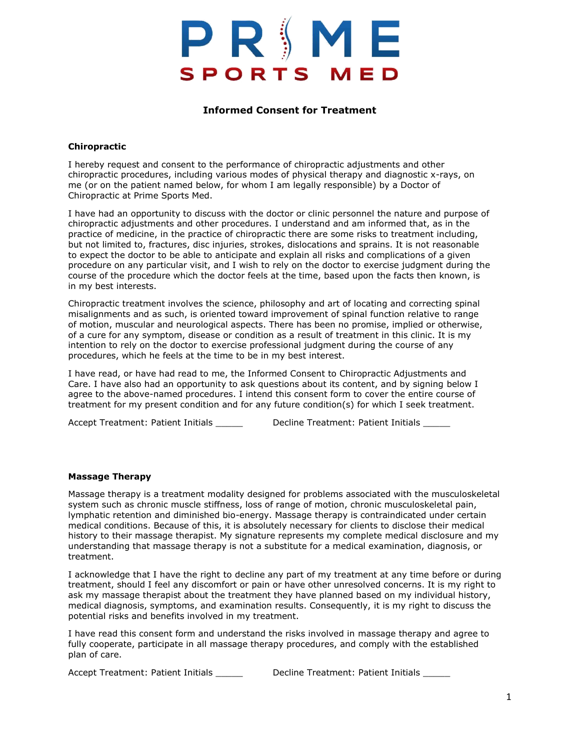# PRIMI **SPORTS MED**

### **Informed Consent for Treatment**

### **Chiropractic**

I hereby request and consent to the performance of chiropractic adjustments and other chiropractic procedures, including various modes of physical therapy and diagnostic x-rays, on me (or on the patient named below, for whom I am legally responsible) by a Doctor of Chiropractic at Prime Sports Med.

I have had an opportunity to discuss with the doctor or clinic personnel the nature and purpose of chiropractic adjustments and other procedures. I understand and am informed that, as in the practice of medicine, in the practice of chiropractic there are some risks to treatment including, but not limited to, fractures, disc injuries, strokes, dislocations and sprains. It is not reasonable to expect the doctor to be able to anticipate and explain all risks and complications of a given procedure on any particular visit, and I wish to rely on the doctor to exercise judgment during the course of the procedure which the doctor feels at the time, based upon the facts then known, is in my best interests.

Chiropractic treatment involves the science, philosophy and art of locating and correcting spinal misalignments and as such, is oriented toward improvement of spinal function relative to range of motion, muscular and neurological aspects. There has been no promise, implied or otherwise, of a cure for any symptom, disease or condition as a result of treatment in this clinic. It is my intention to rely on the doctor to exercise professional judgment during the course of any procedures, which he feels at the time to be in my best interest.

I have read, or have had read to me, the Informed Consent to Chiropractic Adjustments and Care. I have also had an opportunity to ask questions about its content, and by signing below I agree to the above-named procedures. I intend this consent form to cover the entire course of treatment for my present condition and for any future condition(s) for which I seek treatment.

Accept Treatment: Patient Initials \_\_\_\_\_\_ Decline Treatment: Patient Initials \_\_\_\_\_

### **Massage Therapy**

Massage therapy is a treatment modality designed for problems associated with the musculoskeletal system such as chronic muscle stiffness, loss of range of motion, chronic musculoskeletal pain, lymphatic retention and diminished bio-energy. Massage therapy is contraindicated under certain medical conditions. Because of this, it is absolutely necessary for clients to disclose their medical history to their massage therapist. My signature represents my complete medical disclosure and my understanding that massage therapy is not a substitute for a medical examination, diagnosis, or treatment.

I acknowledge that I have the right to decline any part of my treatment at any time before or during treatment, should I feel any discomfort or pain or have other unresolved concerns. It is my right to ask my massage therapist about the treatment they have planned based on my individual history, medical diagnosis, symptoms, and examination results. Consequently, it is my right to discuss the potential risks and benefits involved in my treatment.

I have read this consent form and understand the risks involved in massage therapy and agree to fully cooperate, participate in all massage therapy procedures, and comply with the established plan of care.

Accept Treatment: Patient Initials \_\_\_\_\_\_ Decline Treatment: Patient Initials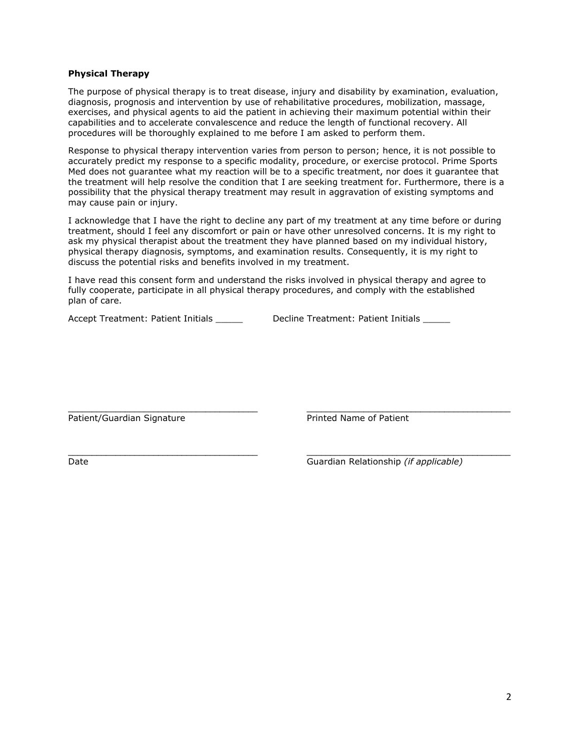#### **Physical Therapy**

The purpose of physical therapy is to treat disease, injury and disability by examination, evaluation, diagnosis, prognosis and intervention by use of rehabilitative procedures, mobilization, massage, exercises, and physical agents to aid the patient in achieving their maximum potential within their capabilities and to accelerate convalescence and reduce the length of functional recovery. All procedures will be thoroughly explained to me before I am asked to perform them.

Response to physical therapy intervention varies from person to person; hence, it is not possible to accurately predict my response to a specific modality, procedure, or exercise protocol. Prime Sports Med does not guarantee what my reaction will be to a specific treatment, nor does it guarantee that the treatment will help resolve the condition that I are seeking treatment for. Furthermore, there is a possibility that the physical therapy treatment may result in aggravation of existing symptoms and may cause pain or injury.

I acknowledge that I have the right to decline any part of my treatment at any time before or during treatment, should I feel any discomfort or pain or have other unresolved concerns. It is my right to ask my physical therapist about the treatment they have planned based on my individual history, physical therapy diagnosis, symptoms, and examination results. Consequently, it is my right to discuss the potential risks and benefits involved in my treatment.

I have read this consent form and understand the risks involved in physical therapy and agree to fully cooperate, participate in all physical therapy procedures, and comply with the established plan of care.

\_\_\_\_\_\_\_\_\_\_\_\_\_\_\_\_\_\_\_\_\_\_\_\_\_\_\_\_\_\_\_\_\_\_\_\_\_\_\_\_ \_\_\_\_\_\_\_\_\_\_\_\_\_\_\_\_\_\_\_\_\_\_\_\_\_\_\_\_\_\_\_\_\_\_\_\_\_\_\_\_\_\_\_

Accept Treatment: Patient Initials **Decline Treatment: Patient Initials** Accept Treatment: Patient Initials

Patient/Guardian Signature **Printed Name of Patient** 

\_\_\_\_\_\_\_\_\_\_\_\_\_\_\_\_\_\_\_\_\_\_\_\_\_\_\_\_\_\_\_\_\_\_\_\_\_\_\_\_ \_\_\_\_\_\_\_\_\_\_\_\_\_\_\_\_\_\_\_\_\_\_\_\_\_\_\_\_\_\_\_\_\_\_\_\_\_\_\_\_\_\_\_ Date Guardian Relationship *(if applicable)*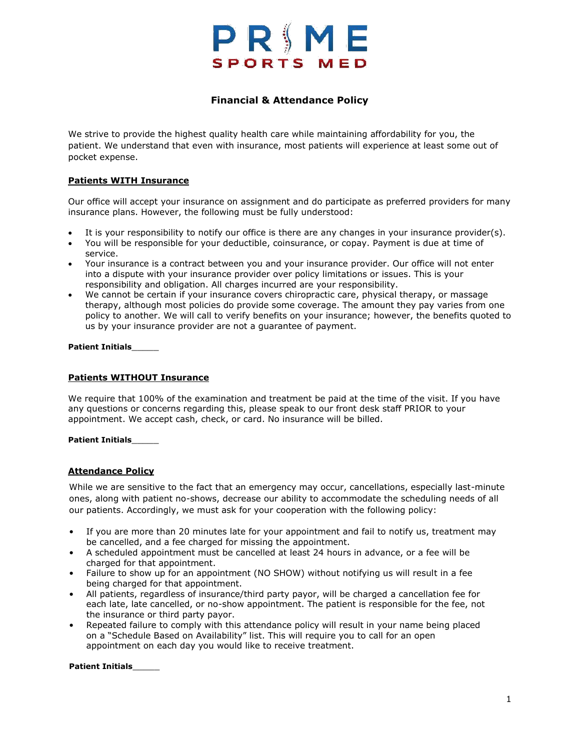## PRIME **SPORTS MED**

### **Financial & Attendance Policy**

We strive to provide the highest quality health care while maintaining affordability for you, the patient. We understand that even with insurance, most patients will experience at least some out of pocket expense.

### **Patients WITH Insurance**

Our office will accept your insurance on assignment and do participate as preferred providers for many insurance plans. However, the following must be fully understood:

- It is your responsibility to notify our office is there are any changes in your insurance provider(s).
- You will be responsible for your deductible, coinsurance, or copay. Payment is due at time of service.
- Your insurance is a contract between you and your insurance provider. Our office will not enter into a dispute with your insurance provider over policy limitations or issues. This is your responsibility and obligation. All charges incurred are your responsibility.
- We cannot be certain if your insurance covers chiropractic care, physical therapy, or massage therapy, although most policies do provide some coverage. The amount they pay varies from one policy to another. We will call to verify benefits on your insurance; however, the benefits quoted to us by your insurance provider are not a guarantee of payment.

**Patient Initials**\_\_\_\_\_

### **Patients WITHOUT Insurance**

We require that 100% of the examination and treatment be paid at the time of the visit. If you have any questions or concerns regarding this, please speak to our front desk staff PRIOR to your appointment. We accept cash, check, or card. No insurance will be billed.

### **Patient Initials**\_\_\_\_\_

### **Attendance Policy**

While we are sensitive to the fact that an emergency may occur, cancellations, especially last-minute ones, along with patient no-shows, decrease our ability to accommodate the scheduling needs of all our patients. Accordingly, we must ask for your cooperation with the following policy:

- If you are more than 20 minutes late for your appointment and fail to notify us, treatment may be cancelled, and a fee charged for missing the appointment.
- A scheduled appointment must be cancelled at least 24 hours in advance, or a fee will be charged for that appointment.
- Failure to show up for an appointment (NO SHOW) without notifying us will result in a fee being charged for that appointment.
- All patients, regardless of insurance/third party payor, will be charged a cancellation fee for each late, late cancelled, or no-show appointment. The patient is responsible for the fee, not the insurance or third party payor.
- Repeated failure to comply with this attendance policy will result in your name being placed on a "Schedule Based on Availability" list. This will require you to call for an open appointment on each day you would like to receive treatment.

**Patient Initials**\_\_\_\_\_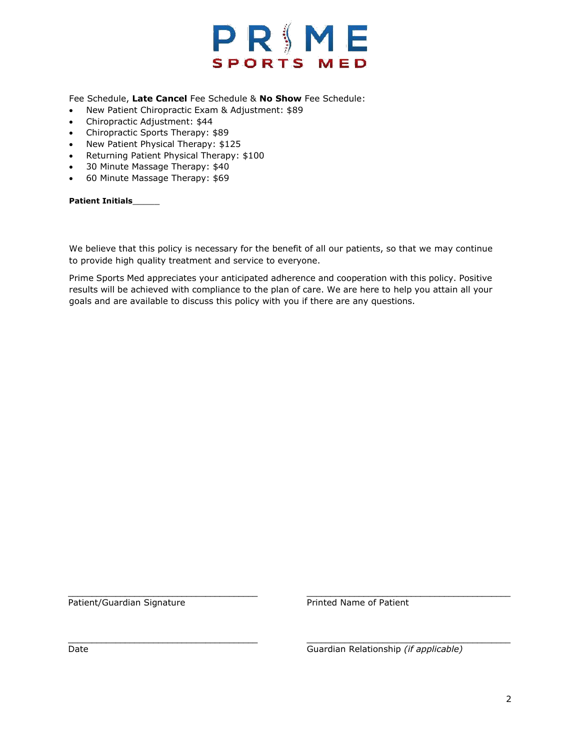

Fee Schedule, **Late Cancel** Fee Schedule & **No Show** Fee Schedule:

- New Patient Chiropractic Exam & Adjustment: \$89
- Chiropractic Adjustment: \$44
- Chiropractic Sports Therapy: \$89
- New Patient Physical Therapy: \$125
- Returning Patient Physical Therapy: \$100
- 30 Minute Massage Therapy: \$40
- 60 Minute Massage Therapy: \$69

**Patient Initials**\_\_\_\_\_

We believe that this policy is necessary for the benefit of all our patients, so that we may continue to provide high quality treatment and service to everyone.

Prime Sports Med appreciates your anticipated adherence and cooperation with this policy. Positive results will be achieved with compliance to the plan of care. We are here to help you attain all your goals and are available to discuss this policy with you if there are any questions.

\_\_\_\_\_\_\_\_\_\_\_\_\_\_\_\_\_\_\_\_\_\_\_\_\_\_\_\_\_\_\_\_\_\_\_\_\_\_\_\_ \_\_\_\_\_\_\_\_\_\_\_\_\_\_\_\_\_\_\_\_\_\_\_\_\_\_\_\_\_\_\_\_\_\_\_\_\_\_\_\_\_\_\_

Patient/Guardian Signature **Printed Name of Patient** 

\_\_\_\_\_\_\_\_\_\_\_\_\_\_\_\_\_\_\_\_\_\_\_\_\_\_\_\_\_\_\_\_\_\_\_\_\_\_\_\_ \_\_\_\_\_\_\_\_\_\_\_\_\_\_\_\_\_\_\_\_\_\_\_\_\_\_\_\_\_\_\_\_\_\_\_\_\_\_\_\_\_\_\_ Date Guardian Relationship *(if applicable)*